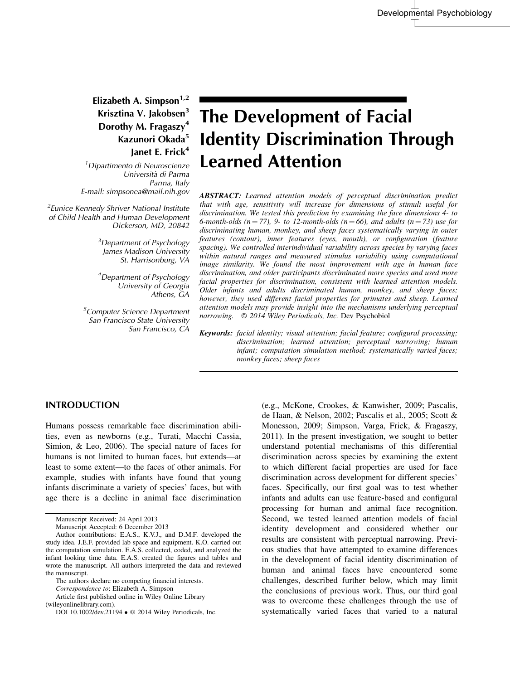# Elizabeth A. Simpson<sup>1,2</sup> Krisztina V. Jakobsen<sup>3</sup> Dorothy M. Fragaszy<sup>4</sup> Kazunori Okada<sup>5</sup> lanet E. Frick<sup>4</sup>

<sup>1</sup> Dipartimento di Neuroscienze Universita` di Parma Parma, Italy E-mail: simpsonea@mail.nih.gov

<sup>2</sup> Eunice Kennedy Shriver National Institute of Child Health and Human Development Dickerson, MD, 20842

> <sup>3</sup>Department of Psychology James Madison University St. Harrisonburg, VA

4 Department of Psychology University of Georgia Athens, GA

<sup>5</sup>Computer Science Department San Francisco State University San Francisco, CA

# The Development of Facial Identity Discrimination Through Learned Attention

ABSTRACT: Learned attention models of perceptual discrimination predict that with age, sensitivity will increase for dimensions of stimuli useful for discrimination. We tested this prediction by examining the face dimensions 4- to 6-month-olds ( $n = 77$ ), 9- to 12-month-olds ( $n = 66$ ), and adults ( $n = 73$ ) use for discriminating human, monkey, and sheep faces systematically varying in outer features (contour), inner features (eyes, mouth), or configuration (feature spacing). We controlled interindividual variability across species by varying faces within natural ranges and measured stimulus variability using computational image similarity. We found the most improvement with age in human face discrimination, and older participants discriminated more species and used more facial properties for discrimination, consistent with learned attention models. Older infants and adults discriminated human, monkey, and sheep faces; however, they used different facial properties for primates and sheep. Learned attention models may provide insight into the mechanisms underlying perceptual narrowing.  $\oslash$  2014 Wiley Periodicals, Inc. Dev Psychobiol

Keywords: facial identity; visual attention; facial feature; configural processing; discrimination; learned attention; perceptual narrowing; human infant; computation simulation method; systematically varied faces; monkey faces; sheep faces

#### INTRODUCTION

Humans possess remarkable face discrimination abilities, even as newborns (e.g., Turati, Macchi Cassia, Simion, & Leo, 2006). The special nature of faces for humans is not limited to human faces, but extends—at least to some extent—to the faces of other animals. For example, studies with infants have found that young infants discriminate a variety of species' faces, but with age there is a decline in animal face discrimination

Correspondence to: Elizabeth A. Simpson

Article first published online in Wiley Online Library (wileyonlinelibrary.com).

(e.g., McKone, Crookes, & Kanwisher, 2009; Pascalis, de Haan, & Nelson, 2002; Pascalis et al., 2005; Scott & Monesson, 2009; Simpson, Varga, Frick, & Fragaszy, 2011). In the present investigation, we sought to better understand potential mechanisms of this differential discrimination across species by examining the extent to which different facial properties are used for face discrimination across development for different species' faces. Specifically, our first goal was to test whether infants and adults can use feature-based and configural processing for human and animal face recognition. Second, we tested learned attention models of facial identity development and considered whether our results are consistent with perceptual narrowing. Previous studies that have attempted to examine differences in the development of facial identity discrimination of human and animal faces have encountered some challenges, described further below, which may limit the conclusions of previous work. Thus, our third goal was to overcome these challenges through the use of systematically varied faces that varied to a natural

Manuscript Received: 24 April 2013

Manuscript Accepted: 6 December 2013

Author contributions: E.A.S., K.V.J., and D.M.F. developed the study idea. J.E.F. provided lab space and equipment. K.O. carried out the computation simulation. E.A.S. collected, coded, and analyzed the infant looking time data. E.A.S. created the figures and tables and wrote the manuscript. All authors interpreted the data and reviewed the manuscript.

The authors declare no competing financial interests.

DOI 10.1002/dev.21194 ● © 2014 Wiley Periodicals, Inc.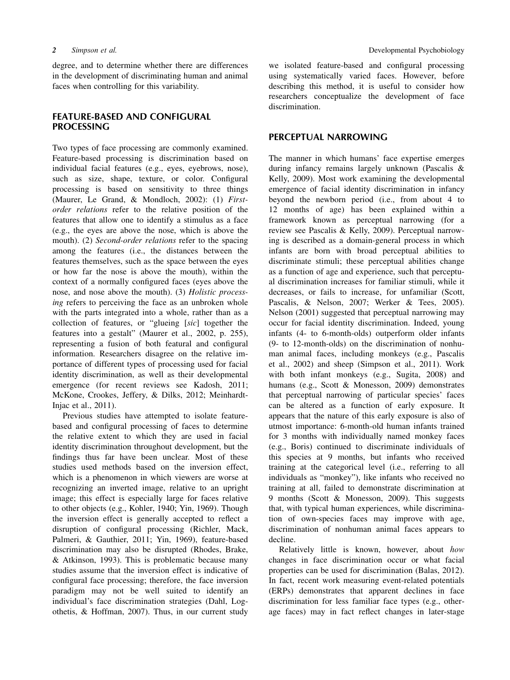degree, and to determine whether there are differences in the development of discriminating human and animal faces when controlling for this variability.

# FEATURE-BASED AND CONFIGURAL **PROCESSING**

Two types of face processing are commonly examined. Feature-based processing is discrimination based on individual facial features (e.g., eyes, eyebrows, nose), such as size, shape, texture, or color. Configural processing is based on sensitivity to three things (Maurer, Le Grand, & Mondloch, 2002): (1) Firstorder relations refer to the relative position of the features that allow one to identify a stimulus as a face (e.g., the eyes are above the nose, which is above the mouth). (2) Second-order relations refer to the spacing among the features (i.e., the distances between the features themselves, such as the space between the eyes or how far the nose is above the mouth), within the context of a normally configured faces (eyes above the nose, and nose above the mouth). (3) Holistic processing refers to perceiving the face as an unbroken whole with the parts integrated into a whole, rather than as a collection of features, or "glueing [sic] together the features into a gestalt" (Maurer et al., 2002, p. 255), representing a fusion of both featural and configural information. Researchers disagree on the relative importance of different types of processing used for facial identity discrimination, as well as their developmental emergence (for recent reviews see Kadosh, 2011; McKone, Crookes, Jeffery, & Dilks, 2012; Meinhardt-Injac et al., 2011).

Previous studies have attempted to isolate featurebased and configural processing of faces to determine the relative extent to which they are used in facial identity discrimination throughout development, but the findings thus far have been unclear. Most of these studies used methods based on the inversion effect, which is a phenomenon in which viewers are worse at recognizing an inverted image, relative to an upright image; this effect is especially large for faces relative to other objects (e.g., Kohler, 1940; Yin, 1969). Though the inversion effect is generally accepted to reflect a disruption of configural processing (Richler, Mack, Palmeri, & Gauthier, 2011; Yin, 1969), feature-based discrimination may also be disrupted (Rhodes, Brake, & Atkinson, 1993). This is problematic because many studies assume that the inversion effect is indicative of configural face processing; therefore, the face inversion paradigm may not be well suited to identify an individual's face discrimination strategies (Dahl, Logothetis, & Hoffman, 2007). Thus, in our current study

we isolated feature-based and configural processing using systematically varied faces. However, before describing this method, it is useful to consider how researchers conceptualize the development of face discrimination.

#### PERCEPTUAL NARROWING

The manner in which humans' face expertise emerges during infancy remains largely unknown (Pascalis & Kelly, 2009). Most work examining the developmental emergence of facial identity discrimination in infancy beyond the newborn period (i.e., from about 4 to 12 months of age) has been explained within a framework known as perceptual narrowing (for a review see Pascalis & Kelly, 2009). Perceptual narrowing is described as a domain-general process in which infants are born with broad perceptual abilities to discriminate stimuli; these perceptual abilities change as a function of age and experience, such that perceptual discrimination increases for familiar stimuli, while it decreases, or fails to increase, for unfamiliar (Scott, Pascalis, & Nelson, 2007; Werker & Tees, 2005). Nelson (2001) suggested that perceptual narrowing may occur for facial identity discrimination. Indeed, young infants (4- to 6-month-olds) outperform older infants (9- to 12-month-olds) on the discrimination of nonhuman animal faces, including monkeys (e.g., Pascalis et al., 2002) and sheep (Simpson et al., 2011). Work with both infant monkeys (e.g., Sugita, 2008) and humans (e.g., Scott & Monesson, 2009) demonstrates that perceptual narrowing of particular species' faces can be altered as a function of early exposure. It appears that the nature of this early exposure is also of utmost importance: 6-month-old human infants trained for 3 months with individually named monkey faces (e.g., Boris) continued to discriminate individuals of this species at 9 months, but infants who received training at the categorical level (i.e., referring to all individuals as "monkey"), like infants who received no training at all, failed to demonstrate discrimination at 9 months (Scott & Monesson, 2009). This suggests that, with typical human experiences, while discrimination of own-species faces may improve with age, discrimination of nonhuman animal faces appears to decline.

Relatively little is known, however, about how changes in face discrimination occur or what facial properties can be used for discrimination (Balas, 2012). In fact, recent work measuring event-related potentials (ERPs) demonstrates that apparent declines in face discrimination for less familiar face types (e.g., otherage faces) may in fact reflect changes in later-stage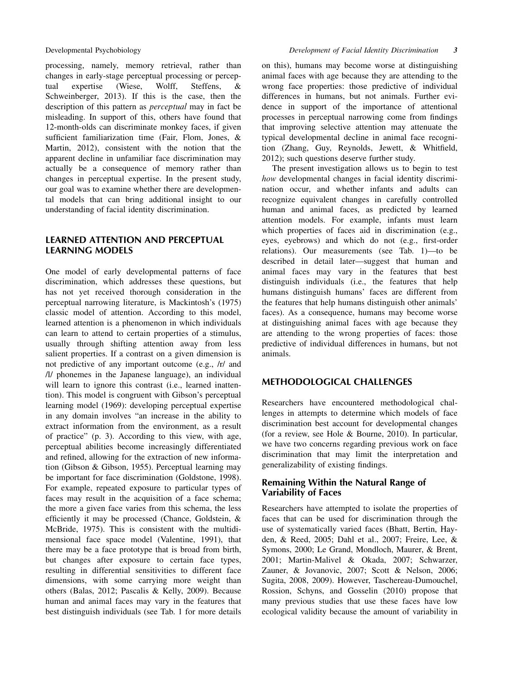processing, namely, memory retrieval, rather than changes in early-stage perceptual processing or perceptual expertise (Wiese, Wolff, Steffens, & Schweinberger, 2013). If this is the case, then the description of this pattern as perceptual may in fact be misleading. In support of this, others have found that 12-month-olds can discriminate monkey faces, if given sufficient familiarization time (Fair, Flom, Jones, & Martin, 2012), consistent with the notion that the apparent decline in unfamiliar face discrimination may actually be a consequence of memory rather than changes in perceptual expertise. In the present study, our goal was to examine whether there are developmental models that can bring additional insight to our understanding of facial identity discrimination.

# LEARNED ATTENTION AND PERCEPTUAL LEARNING MODELS

One model of early developmental patterns of face discrimination, which addresses these questions, but has not yet received thorough consideration in the perceptual narrowing literature, is Mackintosh's (1975) classic model of attention. According to this model, learned attention is a phenomenon in which individuals can learn to attend to certain properties of a stimulus, usually through shifting attention away from less salient properties. If a contrast on a given dimension is not predictive of any important outcome (e.g., /r/ and /l/ phonemes in the Japanese language), an individual will learn to ignore this contrast (i.e., learned inattention). This model is congruent with Gibson's perceptual learning model (1969): developing perceptual expertise in any domain involves "an increase in the ability to extract information from the environment, as a result of practice" (p. 3). According to this view, with age, perceptual abilities become increasingly differentiated and refined, allowing for the extraction of new information (Gibson & Gibson, 1955). Perceptual learning may be important for face discrimination (Goldstone, 1998). For example, repeated exposure to particular types of faces may result in the acquisition of a face schema; the more a given face varies from this schema, the less efficiently it may be processed (Chance, Goldstein, & McBride, 1975). This is consistent with the multidimensional face space model (Valentine, 1991), that there may be a face prototype that is broad from birth, but changes after exposure to certain face types, resulting in differential sensitivities to different face dimensions, with some carrying more weight than others (Balas, 2012; Pascalis & Kelly, 2009). Because human and animal faces may vary in the features that best distinguish individuals (see Tab. 1 for more details on this), humans may become worse at distinguishing animal faces with age because they are attending to the wrong face properties: those predictive of individual differences in humans, but not animals. Further evidence in support of the importance of attentional processes in perceptual narrowing come from findings that improving selective attention may attenuate the typical developmental decline in animal face recognition (Zhang, Guy, Reynolds, Jewett, & Whitfield, 2012); such questions deserve further study.

The present investigation allows us to begin to test how developmental changes in facial identity discrimination occur, and whether infants and adults can recognize equivalent changes in carefully controlled human and animal faces, as predicted by learned attention models. For example, infants must learn which properties of faces aid in discrimination (e.g., eyes, eyebrows) and which do not (e.g., first-order relations). Our measurements (see Tab. 1)—to be described in detail later—suggest that human and animal faces may vary in the features that best distinguish individuals (i.e., the features that help humans distinguish humans' faces are different from the features that help humans distinguish other animals' faces). As a consequence, humans may become worse at distinguishing animal faces with age because they are attending to the wrong properties of faces: those predictive of individual differences in humans, but not animals.

# METHODOLOGICAL CHALLENGES

Researchers have encountered methodological challenges in attempts to determine which models of face discrimination best account for developmental changes (for a review, see Hole & Bourne, 2010). In particular, we have two concerns regarding previous work on face discrimination that may limit the interpretation and generalizability of existing findings.

# Remaining Within the Natural Range of Variability of Faces

Researchers have attempted to isolate the properties of faces that can be used for discrimination through the use of systematically varied faces (Bhatt, Bertin, Hayden, & Reed, 2005; Dahl et al., 2007; Freire, Lee, & Symons, 2000; Le Grand, Mondloch, Maurer, & Brent, 2001; Martin-Malivel & Okada, 2007; Schwarzer, Zauner, & Jovanovic, 2007; Scott & Nelson, 2006; Sugita, 2008, 2009). However, Taschereau-Dumouchel, Rossion, Schyns, and Gosselin (2010) propose that many previous studies that use these faces have low ecological validity because the amount of variability in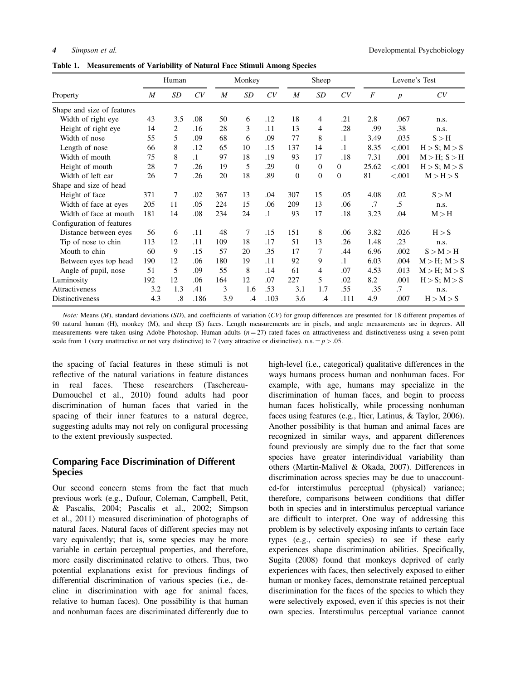Table 1. Measurements of Variability of Natural Face Stimuli Among Species

|                            |     | Human          |           |                  | Monkey    |           |                  | Sheep          |              |                  | Levene's Test    |                   |  |
|----------------------------|-----|----------------|-----------|------------------|-----------|-----------|------------------|----------------|--------------|------------------|------------------|-------------------|--|
| Property                   | M   | SD             | CV        | $\boldsymbol{M}$ | <b>SD</b> | CV        | M                | SD             | CV           | $\boldsymbol{F}$ | $\boldsymbol{p}$ | CV                |  |
| Shape and size of features |     |                |           |                  |           |           |                  |                |              |                  |                  |                   |  |
| Width of right eye         | 43  | 3.5            | .08       | 50               | 6         | .12       | 18               | 4              | .21          | 2.8              | .067             | n.s.              |  |
| Height of right eye        | 14  | 2              | .16       | 28               | 3         | .11       | 13               | 4              | .28          | .99              | .38              | n.s.              |  |
| Width of nose              | 55  | 5              | .09       | 68               | 6         | .09       | 77               | 8              | $\cdot$ 1    | 3.49             | .035             | S > H             |  |
| Length of nose             | 66  | 8              | .12       | 65               | 10        | .15       | 137              | 14             | $\cdot$ 1    | 8.35             | < .001           | H>S; M>S          |  |
| Width of mouth             | 75  | 8              | $\cdot$ 1 | 97               | 18        | .19       | 93               | 17             | .18          | 7.31             | .001             | $M > H$ ; $S > H$ |  |
| Height of mouth            | 28  | 7              | .26       | 19               | 5         | .29       | $\overline{0}$   | $\mathbf{0}$   | $\Omega$     | 25.62            | < .001           | $H > S$ ; $M > S$ |  |
| Width of left ear          | 26  | 7              | .26       | 20               | 18        | .89       | $\boldsymbol{0}$ | $\mathbf{0}$   | $\mathbf{0}$ | 81               | $<.001$          | M > H > S         |  |
| Shape and size of head     |     |                |           |                  |           |           |                  |                |              |                  |                  |                   |  |
| Height of face             | 371 | 7              | .02       | 367              | 13        | .04       | 307              | 15             | .05          | 4.08             | .02              | S > M             |  |
| Width of face at eyes      | 205 | 11             | .05       | 224              | 15        | .06       | 209              | 13             | .06          | .7               | $.5\,$           | n.s.              |  |
| Width of face at mouth     | 181 | 14             | .08       | 234              | 24        | $\cdot$ 1 | 93               | 17             | .18          | 3.23             | .04              | M > H             |  |
| Configuration of features  |     |                |           |                  |           |           |                  |                |              |                  |                  |                   |  |
| Distance between eyes      | 56  | 6              | .11       | 48               | 7         | .15       | 151              | 8              | .06          | 3.82             | .026             | H > S             |  |
| Tip of nose to chin        | 113 | 12             | .11       | 109              | 18        | .17       | 51               | 13             | .26          | 1.48             | .23              | n.s.              |  |
| Mouth to chin              | 60  | 9              | .15       | 57               | 20        | .35       | 17               | 7              | .44          | 6.96             | .002             | S > M > H         |  |
| Between eyes top head      | 190 | 12             | .06       | 180              | 19        | .11       | 92               | 9              | $\cdot$ 1    | 6.03             | .004             | $M > H$ ; $M > S$ |  |
| Angle of pupil, nose       | 51  | 5              | .09       | 55               | 8         | .14       | 61               | $\overline{4}$ | .07          | 4.53             | .013             | $M > H$ ; $M > S$ |  |
| Luminosity                 | 192 | 12             | .06       | 164              | 12        | .07       | 227              | 5              | .02          | 8.2              | .001             | $H>S$ ; $M>S$     |  |
| Attractiveness             | 3.2 | 1.3            | .41       | 3                | 1.6       | .53       | 3.1              | 1.7            | .55          | .35              | $\cdot$ 7        | n.s.              |  |
| Distinctiveness            | 4.3 | $\overline{8}$ | .186      | 3.9              | .4        | .103      | 3.6              | .4             | .111         | 4.9              | .007             | H > M > S         |  |

Note: Means (M), standard deviations (SD), and coefficients of variation (CV) for group differences are presented for 18 different properties of 90 natural human (H), monkey (M), and sheep (S) faces. Length measurements are in pixels, and angle measurements are in degrees. All measurements were taken using Adobe Photoshop. Human adults  $(n = 27)$  rated faces on attractiveness and distinctiveness using a seven-point scale from 1 (very unattractive or not very distinctive) to 7 (very attractive or distinctive). n.s.  $= p > .05$ .

the spacing of facial features in these stimuli is not reflective of the natural variations in feature distances in real faces. These researchers (Taschereau-Dumouchel et al., 2010) found adults had poor discrimination of human faces that varied in the spacing of their inner features to a natural degree, suggesting adults may not rely on configural processing to the extent previously suspected.

### Comparing Face Discrimination of Different Species

Our second concern stems from the fact that much previous work (e.g., Dufour, Coleman, Campbell, Petit, & Pascalis, 2004; Pascalis et al., 2002; Simpson et al., 2011) measured discrimination of photographs of natural faces. Natural faces of different species may not vary equivalently; that is, some species may be more variable in certain perceptual properties, and therefore, more easily discriminated relative to others. Thus, two potential explanations exist for previous findings of differential discrimination of various species (i.e., decline in discrimination with age for animal faces, relative to human faces). One possibility is that human and nonhuman faces are discriminated differently due to high-level (i.e., categorical) qualitative differences in the ways humans process human and nonhuman faces. For example, with age, humans may specialize in the discrimination of human faces, and begin to process human faces holistically, while processing nonhuman faces using features (e.g., Itier, Latinus, & Taylor, 2006). Another possibility is that human and animal faces are recognized in similar ways, and apparent differences found previously are simply due to the fact that some species have greater interindividual variability than others (Martin-Malivel & Okada, 2007). Differences in discrimination across species may be due to unaccounted-for interstimulus perceptual (physical) variance; therefore, comparisons between conditions that differ both in species and in interstimulus perceptual variance are difficult to interpret. One way of addressing this problem is by selectively exposing infants to certain face types (e.g., certain species) to see if these early experiences shape discrimination abilities. Specifically, Sugita (2008) found that monkeys deprived of early experiences with faces, then selectively exposed to either human or monkey faces, demonstrate retained perceptual discrimination for the faces of the species to which they were selectively exposed, even if this species is not their own species. Interstimulus perceptual variance cannot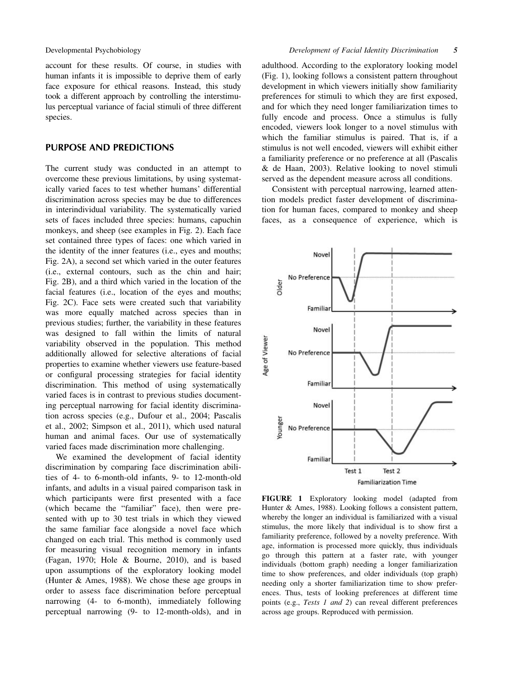account for these results. Of course, in studies with human infants it is impossible to deprive them of early face exposure for ethical reasons. Instead, this study took a different approach by controlling the interstimulus perceptual variance of facial stimuli of three different species.

#### PURPOSE AND PREDICTIONS

The current study was conducted in an attempt to overcome these previous limitations, by using systematically varied faces to test whether humans' differential discrimination across species may be due to differences in interindividual variability. The systematically varied sets of faces included three species: humans, capuchin monkeys, and sheep (see examples in Fig. 2). Each face set contained three types of faces: one which varied in the identity of the inner features (i.e., eyes and mouths; Fig. 2A), a second set which varied in the outer features (i.e., external contours, such as the chin and hair; Fig. 2B), and a third which varied in the location of the facial features (i.e., location of the eyes and mouths; Fig. 2C). Face sets were created such that variability was more equally matched across species than in previous studies; further, the variability in these features was designed to fall within the limits of natural variability observed in the population. This method additionally allowed for selective alterations of facial properties to examine whether viewers use feature-based or configural processing strategies for facial identity discrimination. This method of using systematically varied faces is in contrast to previous studies documenting perceptual narrowing for facial identity discrimination across species (e.g., Dufour et al., 2004; Pascalis et al., 2002; Simpson et al., 2011), which used natural human and animal faces. Our use of systematically varied faces made discrimination more challenging.

We examined the development of facial identity discrimination by comparing face discrimination abilities of 4- to 6-month-old infants, 9- to 12-month-old infants, and adults in a visual paired comparison task in which participants were first presented with a face (which became the "familiar" face), then were presented with up to 30 test trials in which they viewed the same familiar face alongside a novel face which changed on each trial. This method is commonly used for measuring visual recognition memory in infants (Fagan, 1970; Hole & Bourne, 2010), and is based upon assumptions of the exploratory looking model (Hunter & Ames, 1988). We chose these age groups in order to assess face discrimination before perceptual narrowing (4- to 6-month), immediately following perceptual narrowing (9- to 12-month-olds), and in adulthood. According to the exploratory looking model (Fig. 1), looking follows a consistent pattern throughout development in which viewers initially show familiarity preferences for stimuli to which they are first exposed, and for which they need longer familiarization times to fully encode and process. Once a stimulus is fully encoded, viewers look longer to a novel stimulus with which the familiar stimulus is paired. That is, if a stimulus is not well encoded, viewers will exhibit either a familiarity preference or no preference at all (Pascalis & de Haan, 2003). Relative looking to novel stimuli served as the dependent measure across all conditions.

Consistent with perceptual narrowing, learned attention models predict faster development of discrimination for human faces, compared to monkey and sheep faces, as a consequence of experience, which is



FIGURE 1 Exploratory looking model (adapted from Hunter & Ames, 1988). Looking follows a consistent pattern, whereby the longer an individual is familiarized with a visual stimulus, the more likely that individual is to show first a familiarity preference, followed by a novelty preference. With age, information is processed more quickly, thus individuals go through this pattern at a faster rate, with younger individuals (bottom graph) needing a longer familiarization time to show preferences, and older individuals (top graph) needing only a shorter familiarization time to show preferences. Thus, tests of looking preferences at different time points (e.g., Tests 1 and 2) can reveal different preferences across age groups. Reproduced with permission.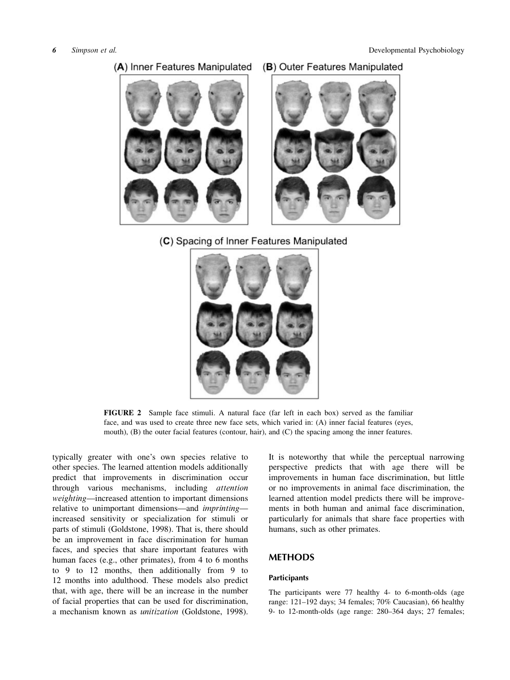

# (C) Spacing of Inner Features Manipulated



FIGURE 2 Sample face stimuli. A natural face (far left in each box) served as the familiar face, and was used to create three new face sets, which varied in: (A) inner facial features (eyes, mouth), (B) the outer facial features (contour, hair), and (C) the spacing among the inner features.

typically greater with one's own species relative to other species. The learned attention models additionally predict that improvements in discrimination occur through various mechanisms, including attention weighting—increased attention to important dimensions relative to unimportant dimensions—and imprinting increased sensitivity or specialization for stimuli or parts of stimuli (Goldstone, 1998). That is, there should be an improvement in face discrimination for human faces, and species that share important features with human faces (e.g., other primates), from 4 to 6 months to 9 to 12 months, then additionally from 9 to 12 months into adulthood. These models also predict that, with age, there will be an increase in the number of facial properties that can be used for discrimination, a mechanism known as unitization (Goldstone, 1998). It is noteworthy that while the perceptual narrowing perspective predicts that with age there will be improvements in human face discrimination, but little or no improvements in animal face discrimination, the learned attention model predicts there will be improvements in both human and animal face discrimination, particularly for animals that share face properties with humans, such as other primates.

### METHODS

#### **Participants**

The participants were 77 healthy 4- to 6-month-olds (age range: 121–192 days; 34 females; 70% Caucasian), 66 healthy 9- to 12-month-olds (age range: 280–364 days; 27 females;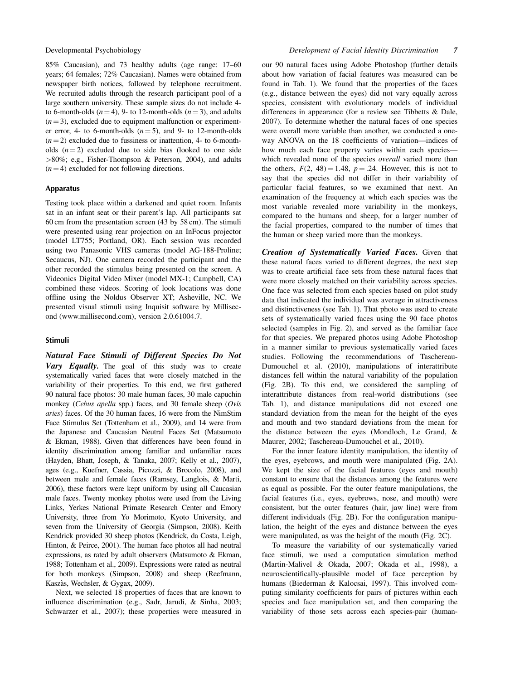85% Caucasian), and 73 healthy adults (age range: 17–60 years; 64 females; 72% Caucasian). Names were obtained from newspaper birth notices, followed by telephone recruitment. We recruited adults through the research participant pool of a large southern university. These sample sizes do not include 4 to 6-month-olds  $(n = 4)$ , 9- to 12-month-olds  $(n = 3)$ , and adults  $(n = 3)$ , excluded due to equipment malfunction or experimenter error, 4- to 6-month-olds  $(n=5)$ , and 9- to 12-month-olds  $(n = 2)$  excluded due to fussiness or inattention, 4- to 6-montholds  $(n = 2)$  excluded due to side bias (looked to one side >80%; e.g., Fisher-Thompson & Peterson, 2004), and adults  $(n = 4)$  excluded for not following directions.

#### Apparatus

Testing took place within a darkened and quiet room. Infants sat in an infant seat or their parent's lap. All participants sat 60 cm from the presentation screen (43 by 58 cm). The stimuli were presented using rear projection on an InFocus projector (model LT755; Portland, OR). Each session was recorded using two Panasonic VHS cameras (model AG-188-Proline; Secaucus, NJ). One camera recorded the participant and the other recorded the stimulus being presented on the screen. A Videonics Digital Video Mixer (model MX-1; Campbell, CA) combined these videos. Scoring of look locations was done offline using the Noldus Observer XT; Asheville, NC. We presented visual stimuli using Inquisit software by Millisecond [\(www.millisecond.com](http://www.millisecond.com/)), version 2.0.61004.7.

#### Stimuli

Natural Face Stimuli of Different Species Do Not Vary Equally. The goal of this study was to create systematically varied faces that were closely matched in the variability of their properties. To this end, we first gathered 90 natural face photos: 30 male human faces, 30 male capuchin monkey (Cebus apella spp.) faces, and 30 female sheep (Ovis aries) faces. Of the 30 human faces, 16 were from the NimStim Face Stimulus Set (Tottenham et al., 2009), and 14 were from the Japanese and Caucasian Neutral Faces Set (Matsumoto & Ekman, 1988). Given that differences have been found in identity discrimination among familiar and unfamiliar races (Hayden, Bhatt, Joseph, & Tanaka, 2007; Kelly et al., 2007), ages (e.g., Kuefner, Cassia, Picozzi, & Brocolo, 2008), and between male and female faces (Ramsey, Langlois, & Marti, 2006), these factors were kept uniform by using all Caucasian male faces. Twenty monkey photos were used from the Living Links, Yerkes National Primate Research Center and Emory University, three from Yo Morimoto, Kyoto University, and seven from the University of Georgia (Simpson, 2008). Keith Kendrick provided 30 sheep photos (Kendrick, da Costa, Leigh, Hinton, & Peirce, 2001). The human face photos all had neutral expressions, as rated by adult observers (Matsumoto & Ekman, 1988; Tottenham et al., 2009). Expressions were rated as neutral for both monkeys (Simpson, 2008) and sheep (Reefmann, Kaszàs, Wechsler, & Gygax, 2009).

Next, we selected 18 properties of faces that are known to influence discrimination (e.g., Sadr, Jarudi, & Sinha, 2003; Schwarzer et al., 2007); these properties were measured in our 90 natural faces using Adobe Photoshop (further details about how variation of facial features was measured can be found in Tab. 1). We found that the properties of the faces (e.g., distance between the eyes) did not vary equally across species, consistent with evolutionary models of individual differences in appearance (for a review see Tibbetts & Dale, 2007). To determine whether the natural faces of one species were overall more variable than another, we conducted a oneway ANOVA on the 18 coefficients of variation—indices of how much each face property varies within each species which revealed none of the species overall varied more than the others,  $F(2, 48) = 1.48$ ,  $p = .24$ . However, this is not to say that the species did not differ in their variability of particular facial features, so we examined that next. An examination of the frequency at which each species was the most variable revealed more variability in the monkeys, compared to the humans and sheep, for a larger number of the facial properties, compared to the number of times that the human or sheep varied more than the monkeys.

Creation of Systematically Varied Faces. Given that these natural faces varied to different degrees, the next step was to create artificial face sets from these natural faces that were more closely matched on their variability across species. One face was selected from each species based on pilot study data that indicated the individual was average in attractiveness and distinctiveness (see Tab. 1). That photo was used to create sets of systematically varied faces using the 90 face photos selected (samples in Fig. 2), and served as the familiar face for that species. We prepared photos using Adobe Photoshop in a manner similar to previous systematically varied faces studies. Following the recommendations of Taschereau-Dumouchel et al. (2010), manipulations of interattribute distances fell within the natural variability of the population (Fig. 2B). To this end, we considered the sampling of interattribute distances from real-world distributions (see Tab. 1), and distance manipulations did not exceed one standard deviation from the mean for the height of the eyes and mouth and two standard deviations from the mean for the distance between the eyes (Mondloch, Le Grand, & Maurer, 2002; Taschereau-Dumouchel et al., 2010).

For the inner feature identity manipulation, the identity of the eyes, eyebrows, and mouth were manipulated (Fig. 2A). We kept the size of the facial features (eyes and mouth) constant to ensure that the distances among the features were as equal as possible. For the outer feature manipulations, the facial features (i.e., eyes, eyebrows, nose, and mouth) were consistent, but the outer features (hair, jaw line) were from different individuals (Fig. 2B). For the configuration manipulation, the height of the eyes and distance between the eyes were manipulated, as was the height of the mouth (Fig. 2C).

To measure the variability of our systematically varied face stimuli, we used a computation simulation method (Martin-Malivel & Okada, 2007; Okada et al., 1998), a neuroscientifically-plausible model of face perception by humans (Biederman & Kalocsai, 1997). This involved computing similarity coefficients for pairs of pictures within each species and face manipulation set, and then comparing the variability of those sets across each species-pair (human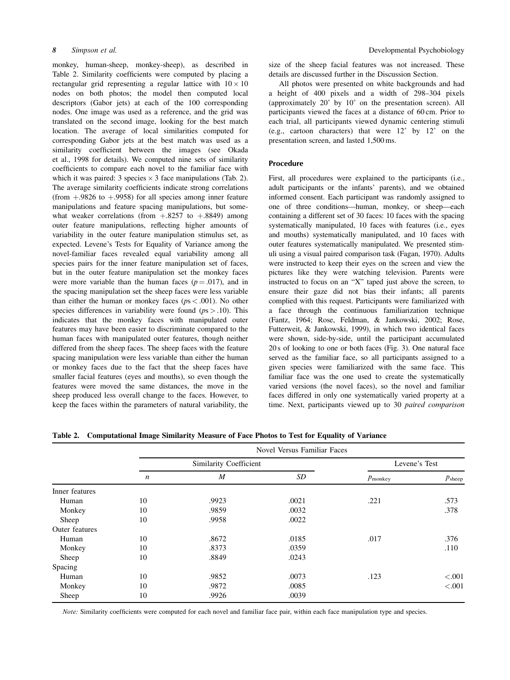monkey, human-sheep, monkey-sheep), as described in Table 2. Similarity coefficients were computed by placing a rectangular grid representing a regular lattice with  $10 \times 10$ nodes on both photos; the model then computed local descriptors (Gabor jets) at each of the 100 corresponding nodes. One image was used as a reference, and the grid was translated on the second image, looking for the best match location. The average of local similarities computed for corresponding Gabor jets at the best match was used as a similarity coefficient between the images (see Okada et al., 1998 for details). We computed nine sets of similarity coefficients to compare each novel to the familiar face with which it was paired: 3 species  $\times$  3 face manipulations (Tab. 2). The average similarity coefficients indicate strong correlations (from  $+0.9826$  to  $+0.9958$ ) for all species among inner feature manipulations and feature spacing manipulations, but somewhat weaker correlations (from  $+0.8257$  to  $+0.8849$ ) among outer feature manipulations, reflecting higher amounts of variability in the outer feature manipulation stimulus set, as expected. Levene's Tests for Equality of Variance among the novel-familiar faces revealed equal variability among all species pairs for the inner feature manipulation set of faces, but in the outer feature manipulation set the monkey faces were more variable than the human faces  $(p = .017)$ , and in the spacing manipulation set the sheep faces were less variable than either the human or monkey faces ( $ps < .001$ ). No other species differences in variability were found  $(p_s > .10)$ . This indicates that the monkey faces with manipulated outer features may have been easier to discriminate compared to the human faces with manipulated outer features, though neither differed from the sheep faces. The sheep faces with the feature spacing manipulation were less variable than either the human or monkey faces due to the fact that the sheep faces have smaller facial features (eyes and mouths), so even though the features were moved the same distances, the move in the sheep produced less overall change to the faces. However, to keep the faces within the parameters of natural variability, the

size of the sheep facial features was not increased. These details are discussed further in the Discussion Section.

All photos were presented on white backgrounds and had a height of 400 pixels and a width of 298–304 pixels (approximately 20˚ by 10˚ on the presentation screen). All participants viewed the faces at a distance of 60 cm. Prior to each trial, all participants viewed dynamic centering stimuli (e.g., cartoon characters) that were  $12^{\circ}$  by  $12^{\circ}$  on the presentation screen, and lasted 1,500 ms.

#### Procedure

First, all procedures were explained to the participants (i.e., adult participants or the infants' parents), and we obtained informed consent. Each participant was randomly assigned to one of three conditions—human, monkey, or sheep—each containing a different set of 30 faces: 10 faces with the spacing systematically manipulated, 10 faces with features (i.e., eyes and mouths) systematically manipulated, and 10 faces with outer features systematically manipulated. We presented stimuli using a visual paired comparison task (Fagan, 1970). Adults were instructed to keep their eyes on the screen and view the pictures like they were watching television. Parents were instructed to focus on an "X" taped just above the screen, to ensure their gaze did not bias their infants; all parents complied with this request. Participants were familiarized with a face through the continuous familiarization technique (Fantz, 1964; Rose, Feldman, & Jankowski, 2002; Rose, Futterweit, & Jankowski, 1999), in which two identical faces were shown, side-by-side, until the participant accumulated 20 s of looking to one or both faces (Fig. 3). One natural face served as the familiar face, so all participants assigned to a given species were familiarized with the same face. This familiar face was the one used to create the systematically varied versions (the novel faces), so the novel and familiar faces differed in only one systematically varied property at a time. Next, participants viewed up to 30 paired comparison

|  |  |  | Table 2. Computational Image Similarity Measure of Face Photos to Test for Equality of Variance |
|--|--|--|-------------------------------------------------------------------------------------------------|
|--|--|--|-------------------------------------------------------------------------------------------------|

|                |                  | Novel Versus Familiar Faces |               |                     |                 |  |  |  |  |  |  |  |
|----------------|------------------|-----------------------------|---------------|---------------------|-----------------|--|--|--|--|--|--|--|
|                |                  | Similarity Coefficient      | Levene's Test |                     |                 |  |  |  |  |  |  |  |
|                | $\boldsymbol{n}$ | $\boldsymbol{M}$            | SD            | $p_{\text{monkey}}$ | $p_{\rm sheep}$ |  |  |  |  |  |  |  |
| Inner features |                  |                             |               |                     |                 |  |  |  |  |  |  |  |
| Human          | 10               | .9923                       | .0021         | .221                | .573            |  |  |  |  |  |  |  |
| Monkey         | 10               | .9859                       | .0032         |                     | .378            |  |  |  |  |  |  |  |
| Sheep          | 10               | .9958                       | .0022         |                     |                 |  |  |  |  |  |  |  |
| Outer features |                  |                             |               |                     |                 |  |  |  |  |  |  |  |
| Human          | 10               | .8672                       | .0185         | .017                | .376            |  |  |  |  |  |  |  |
| Monkey         | 10               | .8373                       | .0359         |                     | .110            |  |  |  |  |  |  |  |
| Sheep          | 10               | .8849                       | .0243         |                     |                 |  |  |  |  |  |  |  |
| Spacing        |                  |                             |               |                     |                 |  |  |  |  |  |  |  |
| Human          | 10               | .9852                       | .0073         | .123                | < .001          |  |  |  |  |  |  |  |
| Monkey         | 10               | .9872                       | .0085         |                     | < .001          |  |  |  |  |  |  |  |
| Sheep          | 10               | .9926                       | .0039         |                     |                 |  |  |  |  |  |  |  |

Note: Similarity coefficients were computed for each novel and familiar face pair, within each face manipulation type and species.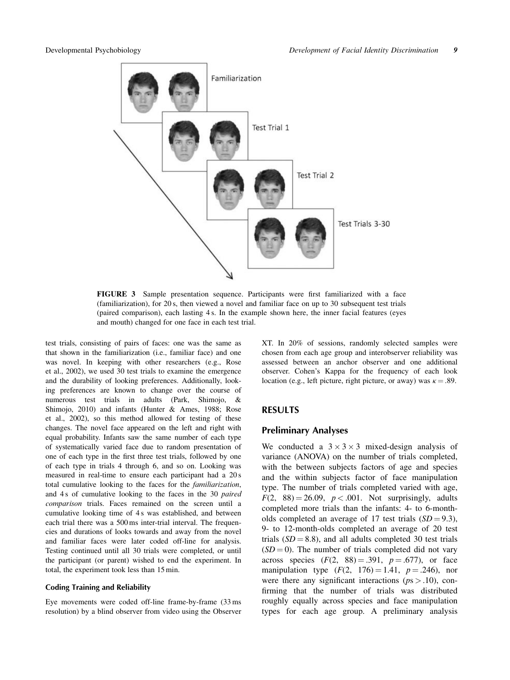

FIGURE 3 Sample presentation sequence. Participants were first familiarized with a face (familiarization), for 20 s, then viewed a novel and familiar face on up to 30 subsequent test trials (paired comparison), each lasting 4 s. In the example shown here, the inner facial features (eyes and mouth) changed for one face in each test trial.

test trials, consisting of pairs of faces: one was the same as that shown in the familiarization (i.e., familiar face) and one was novel. In keeping with other researchers (e.g., Rose et al., 2002), we used 30 test trials to examine the emergence and the durability of looking preferences. Additionally, looking preferences are known to change over the course of numerous test trials in adults (Park, Shimojo, & Shimojo, 2010) and infants (Hunter & Ames, 1988; Rose et al., 2002), so this method allowed for testing of these changes. The novel face appeared on the left and right with equal probability. Infants saw the same number of each type of systematically varied face due to random presentation of one of each type in the first three test trials, followed by one of each type in trials 4 through 6, and so on. Looking was measured in real-time to ensure each participant had a 20 s total cumulative looking to the faces for the familiarization, and 4 s of cumulative looking to the faces in the 30 paired comparison trials. Faces remained on the screen until a cumulative looking time of 4 s was established, and between each trial there was a 500 ms inter-trial interval. The frequencies and durations of looks towards and away from the novel and familiar faces were later coded off-line for analysis. Testing continued until all 30 trials were completed, or until the participant (or parent) wished to end the experiment. In total, the experiment took less than 15 min.

#### Coding Training and Reliability

Eye movements were coded off-line frame-by-frame (33 ms resolution) by a blind observer from video using the Observer XT. In 20% of sessions, randomly selected samples were chosen from each age group and interobserver reliability was assessed between an anchor observer and one additional observer. Cohen's Kappa for the frequency of each look location (e.g., left picture, right picture, or away) was  $\kappa = .89$ .

#### RESULTS

#### Preliminary Analyses

We conducted a  $3 \times 3 \times 3$  mixed-design analysis of variance (ANOVA) on the number of trials completed, with the between subjects factors of age and species and the within subjects factor of face manipulation type. The number of trials completed varied with age,  $F(2, 88) = 26.09$ ,  $p < .001$ . Not surprisingly, adults completed more trials than the infants: 4- to 6-montholds completed an average of 17 test trials  $(SD = 9.3)$ , 9- to 12-month-olds completed an average of 20 test trials  $(SD = 8.8)$ , and all adults completed 30 test trials  $(SD = 0)$ . The number of trials completed did not vary across species  $(F(2, 88) = .391, p = .677)$ , or face manipulation type  $(F(2, 176) = 1.41, p = .246)$ , nor were there any significant interactions ( $ps > .10$ ), confirming that the number of trials was distributed roughly equally across species and face manipulation types for each age group. A preliminary analysis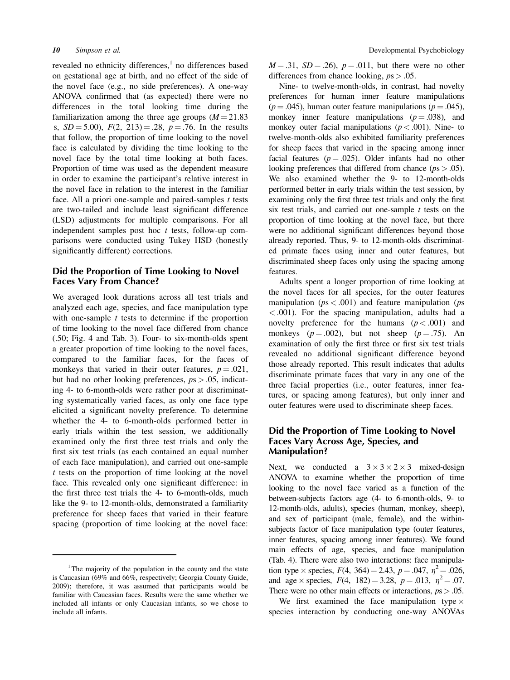revealed no ethnicity differences, $<sup>1</sup>$  no differences based</sup> on gestational age at birth, and no effect of the side of the novel face (e.g., no side preferences). A one-way ANOVA confirmed that (as expected) there were no differences in the total looking time during the familiarization among the three age groups  $(M = 21.83)$ s,  $SD = 5.00$ ,  $F(2, 213) = .28$ ,  $p = .76$ . In the results that follow, the proportion of time looking to the novel face is calculated by dividing the time looking to the novel face by the total time looking at both faces. Proportion of time was used as the dependent measure in order to examine the participant's relative interest in the novel face in relation to the interest in the familiar face. All a priori one-sample and paired-samples  $t$  tests are two-tailed and include least significant difference (LSD) adjustments for multiple comparisons. For all independent samples post hoc  $t$  tests, follow-up comparisons were conducted using Tukey HSD (honestly significantly different) corrections.

### Did the Proportion of Time Looking to Novel Faces Vary From Chance?

We averaged look durations across all test trials and analyzed each age, species, and face manipulation type with one-sample  $t$  tests to determine if the proportion of time looking to the novel face differed from chance (.50; Fig. 4 and Tab. 3). Four- to six-month-olds spent a greater proportion of time looking to the novel faces, compared to the familiar faces, for the faces of monkeys that varied in their outer features,  $p = .021$ , but had no other looking preferences,  $ps > .05$ , indicating 4- to 6-month-olds were rather poor at discriminating systematically varied faces, as only one face type elicited a significant novelty preference. To determine whether the 4- to 6-month-olds performed better in early trials within the test session, we additionally examined only the first three test trials and only the first six test trials (as each contained an equal number of each face manipulation), and carried out one-sample t tests on the proportion of time looking at the novel face. This revealed only one significant difference: in the first three test trials the 4- to 6-month-olds, much like the 9- to 12-month-olds, demonstrated a familiarity preference for sheep faces that varied in their feature spacing (proportion of time looking at the novel face:

 $M = .31$ ,  $SD = .26$ ),  $p = .011$ , but there were no other differences from chance looking,  $ps > .05$ .

Nine- to twelve-month-olds, in contrast, had novelty preferences for human inner feature manipulations  $(p = .045)$ , human outer feature manipulations  $(p = .045)$ , monkey inner feature manipulations  $(p = .038)$ , and monkey outer facial manipulations ( $p < .001$ ). Nine- to twelve-month-olds also exhibited familiarity preferences for sheep faces that varied in the spacing among inner facial features ( $p = .025$ ). Older infants had no other looking preferences that differed from chance  $(ps > .05)$ . We also examined whether the 9- to 12-month-olds performed better in early trials within the test session, by examining only the first three test trials and only the first six test trials, and carried out one-sample  $t$  tests on the proportion of time looking at the novel face, but there were no additional significant differences beyond those already reported. Thus, 9- to 12-month-olds discriminated primate faces using inner and outer features, but discriminated sheep faces only using the spacing among features.

Adults spent a longer proportion of time looking at the novel faces for all species, for the outer features manipulation ( $ps < .001$ ) and feature manipulation ( $ps$ < .001). For the spacing manipulation, adults had a novelty preference for the humans  $(p < .001)$  and monkeys ( $p = .002$ ), but not sheep ( $p = .75$ ). An examination of only the first three or first six test trials revealed no additional significant difference beyond those already reported. This result indicates that adults discriminate primate faces that vary in any one of the three facial properties (i.e., outer features, inner features, or spacing among features), but only inner and outer features were used to discriminate sheep faces.

# Did the Proportion of Time Looking to Novel Faces Vary Across Age, Species, and Manipulation?

Next, we conducted a  $3 \times 3 \times 2 \times 3$  mixed-design ANOVA to examine whether the proportion of time looking to the novel face varied as a function of the between-subjects factors age (4- to 6-month-olds, 9- to 12-month-olds, adults), species (human, monkey, sheep), and sex of participant (male, female), and the withinsubjects factor of face manipulation type (outer features, inner features, spacing among inner features). We found main effects of age, species, and face manipulation (Tab. 4). There were also two interactions: face manipulation type  $\times$  species,  $F(4, 364) = 2.43$ ,  $p = .047$ ,  $n^2 = .026$ , and age  $\times$  species,  $F(4, 182) = 3.28$ ,  $p = .013$ ,  $\eta^2 = .07$ . There were no other main effects or interactions,  $ps > .05$ .

We first examined the face manipulation type  $\times$ species interaction by conducting one-way ANOVAs

<sup>&</sup>lt;sup>1</sup>The majority of the population in the county and the state is Caucasian (69% and 66%, respectively; Georgia County Guide, 2009); therefore, it was assumed that participants would be familiar with Caucasian faces. Results were the same whether we included all infants or only Caucasian infants, so we chose to include all infants.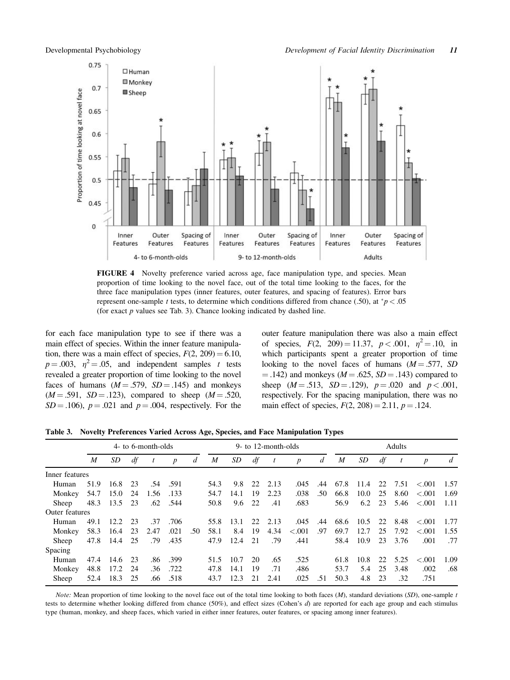

FIGURE 4 Novelty preference varied across age, face manipulation type, and species. Mean proportion of time looking to the novel face, out of the total time looking to the faces, for the three face manipulation types (inner features, outer features, and spacing of features). Error bars represent one-sample t tests, to determine which conditions differed from chance (.50), at  $p < .05$ (for exact  $p$  values see Tab. 3). Chance looking indicated by dashed line.

for each face manipulation type to see if there was a main effect of species. Within the inner feature manipulation, there was a main effect of species,  $F(2, 209) = 6.10$ ,  $p = .003$ ,  $\eta^2 = .05$ , and independent samples t tests revealed a greater proportion of time looking to the novel faces of humans  $(M = .579, SD = .145)$  and monkeys  $(M = .591, SD = .123)$ , compared to sheep  $(M = .520,$  $SD = .106$ ,  $p = .021$  and  $p = .004$ , respectively. For the outer feature manipulation there was also a main effect of species,  $F(2, 209) = 11.37$ ,  $p < .001$ ,  $\eta^2 = .10$ , in which participants spent a greater proportion of time looking to the novel faces of humans  $(M = .577, SD$  $=$  .142) and monkeys ( $M = .625$ ,  $SD = .143$ ) compared to sheep  $(M = .513, SD = .129)$ ,  $p = .020$  and  $p < .001$ , respectively. For the spacing manipulation, there was no main effect of species,  $F(2, 208) = 2.11$ ,  $p = .124$ .

Table 3. Novelty Preferences Varied Across Age, Species, and Face Manipulation Types

|                | 4- to 6-month-olds |      |     |                  |                  |     | 9- to 12-month-olds |      |    |                  |                  | Adults |                  |      |    |                  |                  |      |
|----------------|--------------------|------|-----|------------------|------------------|-----|---------------------|------|----|------------------|------------------|--------|------------------|------|----|------------------|------------------|------|
|                | M                  | SD.  | df  | $\boldsymbol{t}$ | $\boldsymbol{p}$ | d   | $\boldsymbol{M}$    | SD   | df | $\boldsymbol{t}$ | $\boldsymbol{p}$ | d      | $\boldsymbol{M}$ | SD   | df | $\boldsymbol{t}$ | $\boldsymbol{p}$ | d    |
| Inner features |                    |      |     |                  |                  |     |                     |      |    |                  |                  |        |                  |      |    |                  |                  |      |
| Human          | 51.9               | 16.8 | 23  | .54              | .591             |     | 54.3                | 9.8  | 22 | 2.13             | .045             | .44    | 67.8             | 11.4 | 22 | 7.51             | < 0.001          | 1.57 |
| Monkey         | 54.7               | 15.0 | 24  | 1.56             | .133             |     | 54.7                | 14.1 | 19 | 2.23             | .038             | .50    | 66.8             | 10.0 | 25 | 8.60             | $-.001$          | 1.69 |
| Sheep          | 48.3               | 13.5 | 23  | .62              | .544             |     | 50.8                | 9.6  | 22 | .41              | .683             |        | 56.9             | 6.2  | 23 | 5.46             | $-.001$          | 1.11 |
| Outer features |                    |      |     |                  |                  |     |                     |      |    |                  |                  |        |                  |      |    |                  |                  |      |
| Human          | 49.1               | 12.2 | 23  | .37              | .706             |     | 55.8                | 13.1 | 22 | 2.13             | .045             | .44    | 68.6             | 10.5 | 22 | 8.48             | $-.001$          | 1.77 |
| Monkey         | 58.3               | 16.4 | 23  | 2.47             | .021             | .50 | 58.1                | 8.4  | 19 | 4.34             | $-.001$          | .97    | 69.7             | 12.7 | 25 | 7.92             | $-.001$          | 1.55 |
| Sheep          | 47.8               | 14.4 | 25  | .79              | .435             |     | 47.9                | 12.4 | 21 | .79              | .441             |        | 58.4             | 10.9 | 23 | 3.76             | .001             | .77  |
| Spacing        |                    |      |     |                  |                  |     |                     |      |    |                  |                  |        |                  |      |    |                  |                  |      |
| Human          | 47.4               | 14.6 | 23  | .86              | .399             |     | 51.5                | 10.7 | 20 | .65              | .525             |        | 61.8             | 10.8 | 22 | 5.25             | $-.001$          | 1.09 |
| Monkey         | 48.8               | 17.2 | -24 | .36              | .722             |     | 47.8                | 14.1 | 19 | .71              | .486             |        | 53.7             | 5.4  | 25 | 3.48             | .002             | .68  |
| Sheep          | 52.4               | 18.3 | 25  | .66              | .518             |     | 43.7                | 12.3 | 21 | 2.41             | .025             | .51    | 50.3             | 4.8  | 23 | .32              | .751             |      |

Note: Mean proportion of time looking to the novel face out of the total time looking to both faces  $(M)$ , standard deviations  $(SD)$ , one-sample t tests to determine whether looking differed from chance (50%), and effect sizes (Cohen's d) are reported for each age group and each stimulus type (human, monkey, and sheep faces, which varied in either inner features, outer features, or spacing among inner features).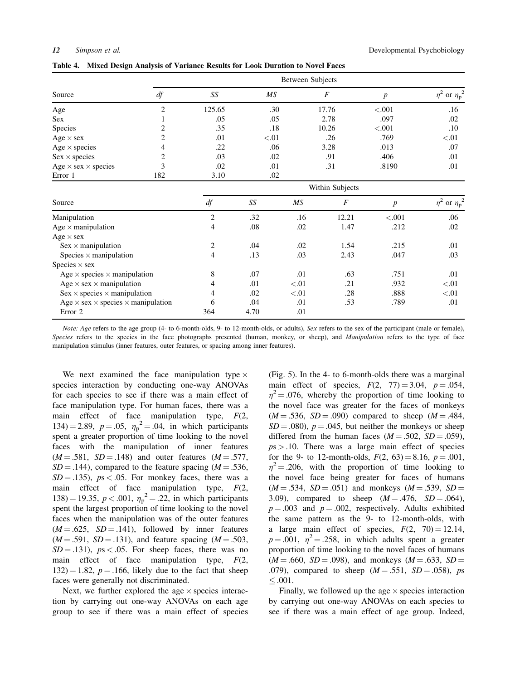|                                   |     | Between Subjects |        |       |         |                           |  |  |  |  |  |
|-----------------------------------|-----|------------------|--------|-------|---------|---------------------------|--|--|--|--|--|
| Source                            | df  | SS               | MS     |       |         | or $\eta_p^2$<br>$\eta^-$ |  |  |  |  |  |
| Age                               | ◠   | 125.65           | .30    | 17.76 | < 0.001 | .16                       |  |  |  |  |  |
| Sex                               |     | .05              | .05    | 2.78  | .097    | .02                       |  |  |  |  |  |
| Species                           |     | .35              | .18    | 10.26 | < .001  | .10                       |  |  |  |  |  |
| Age $\times$ sex                  |     | .01              | < 0.01 | .26   | .769    | < 0.01                    |  |  |  |  |  |
| Age $\times$ species              |     | .22              | .06    | 3.28  | .013    | .07                       |  |  |  |  |  |
| $Sex \times species$              |     | .03              | .02    | .91   | .406    | .01                       |  |  |  |  |  |
| Age $\times$ sex $\times$ species | 3   | .02              | .01    | .31   | .8190   | .01                       |  |  |  |  |  |
| Error 1                           | 182 | 3.10             | .02    |       |         |                           |  |  |  |  |  |

Table 4. Mixed Design Analysis of Variance Results for Look Duration to Novel Faces

|                                                         | Within Subjects |      |        |                  |                  |                           |  |  |  |  |  |
|---------------------------------------------------------|-----------------|------|--------|------------------|------------------|---------------------------|--|--|--|--|--|
| Source                                                  | df              | SS   | MS     | $\boldsymbol{F}$ | $\boldsymbol{p}$ | or $\eta_p^2$<br>$\eta^2$ |  |  |  |  |  |
| Manipulation                                            | 2               | .32  | .16    | 12.21            | < .001           | .06                       |  |  |  |  |  |
| Age $\times$ manipulation                               | 4               | .08  | .02    | 1.47             | .212             | .02                       |  |  |  |  |  |
| Age $\times$ sex                                        |                 |      |        |                  |                  |                           |  |  |  |  |  |
| $Sex \times manipulation$                               | $\overline{c}$  | .04  | .02    | 1.54             | .215             | .01                       |  |  |  |  |  |
| Species $\times$ manipulation                           | 4               | .13  | .03    | 2.43             | .047             | .03                       |  |  |  |  |  |
| Species $\times$ sex                                    |                 |      |        |                  |                  |                           |  |  |  |  |  |
| Age $\times$ species $\times$ manipulation              | 8               | .07  | .01    | .63              | .751             | .01                       |  |  |  |  |  |
| Age $\times$ sex $\times$ manipulation                  | 4               | .01  | < 0.01 | .21              | .932             | < 0.01                    |  |  |  |  |  |
| $Sex \times species \times manipulation$                | 4               | .02  | < 0.01 | .28              | .888             | < 01                      |  |  |  |  |  |
| Age $\times$ sex $\times$ species $\times$ manipulation | 6               | .04  | .01    | .53              | .789             | .01                       |  |  |  |  |  |
| Error 2                                                 | 364             | 4.70 | .01    |                  |                  |                           |  |  |  |  |  |

Note: Age refers to the age group (4- to 6-month-olds, 9- to 12-month-olds, or adults), Sex refers to the sex of the participant (male or female), Species refers to the species in the face photographs presented (human, monkey, or sheep), and Manipulation refers to the type of face manipulation stimulus (inner features, outer features, or spacing among inner features).

We next examined the face manipulation type  $\times$ species interaction by conducting one-way ANOVAs for each species to see if there was a main effect of face manipulation type. For human faces, there was a main effect of face manipulation type,  $F(2)$ , 134) = 2.89,  $p = .05$ ,  $\eta_p^2 = .04$ , in which participants spent a greater proportion of time looking to the novel faces with the manipulation of inner features  $(M = .581, SD = .148)$  and outer features  $(M = .577,$  $SD = .144$ ), compared to the feature spacing ( $M = .536$ ,  $SD = .135$ ,  $ps < .05$ . For monkey faces, there was a main effect of face manipulation type,  $F(2)$ , 138) = 19.35,  $p < .001$ ,  $\eta_p^2 = .22$ , in which participants spent the largest proportion of time looking to the novel faces when the manipulation was of the outer features  $(M = .625, SD = .141)$ , followed by inner features  $(M = .591, SD = .131)$ , and feature spacing  $(M = .503,$  $SD = .131$ ,  $ps < .05$ . For sheep faces, there was no main effect of face manipulation type,  $F(2)$ ,  $132$ ) = 1.82, p = .166, likely due to the fact that sheep faces were generally not discriminated.

Next, we further explored the age  $\times$  species interaction by carrying out one-way ANOVAs on each age group to see if there was a main effect of species (Fig. 5). In the 4- to 6-month-olds there was a marginal main effect of species,  $F(2, 77) = 3.04$ ,  $p = .054$ ,  $\eta^2$  = .076, whereby the proportion of time looking to the novel face was greater for the faces of monkeys  $(M = .536, SD = .090)$  compared to sheep  $(M = .484,$  $SD = .080$ ,  $p = .045$ , but neither the monkeys or sheep differed from the human faces ( $M = .502$ ,  $SD = .059$ ),  $ps > 0.10$ . There was a large main effect of species for the 9- to 12-month-olds,  $F(2, 63) = 8.16$ ,  $p = .001$ ,  $\eta^2 = .206$ , with the proportion of time looking to the novel face being greater for faces of humans  $(M = .534, SD = .051)$  and monkeys  $(M = .539, SD = .051)$ 3.09), compared to sheep  $(M = .476, SD = .064)$ ,  $p = .003$  and  $p = .002$ , respectively. Adults exhibited the same pattern as the 9- to 12-month-olds, with a large main effect of species,  $F(2, 70) = 12.14$ ,  $p = .001$ ,  $\eta^2 = .258$ , in which adults spent a greater proportion of time looking to the novel faces of humans  $(M = .660, SD = .098)$ , and monkeys  $(M = .633, SD = .098)$ .079), compared to sheep  $(M = .551, SD = .058)$ , ps  $< 0.001$ .

Finally, we followed up the age  $\times$  species interaction by carrying out one-way ANOVAs on each species to see if there was a main effect of age group. Indeed,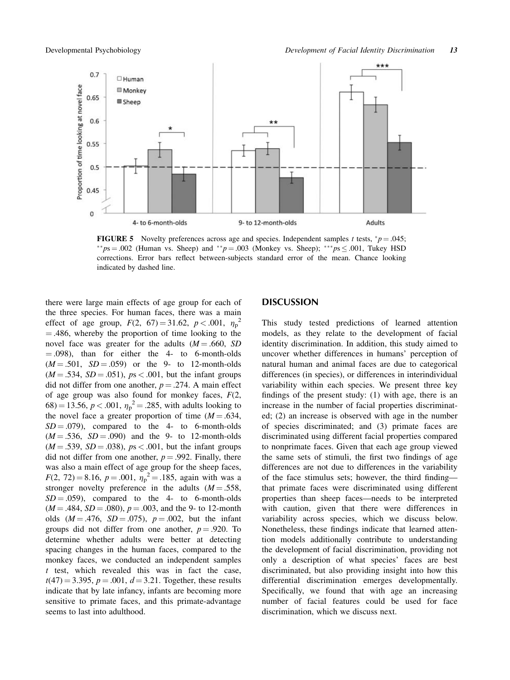

**FIGURE 5** Novelty preferences across age and species. Independent samples t tests,  $^*p = .045$ ;  $^{**}ps = .002$  (Human vs. Sheep) and  $^{**}p = .003$  (Monkey vs. Sheep);  $^{**}ps \le .001$ , Tukey HSD corrections. Error bars reflect between-subjects standard error of the mean. Chance looking indicated by dashed line.

there were large main effects of age group for each of the three species. For human faces, there was a main effect of age group,  $F(2, 67) = 31.62$ ,  $p < .001$ ,  $\eta_p^2$  $= .486$ , whereby the proportion of time looking to the novel face was greater for the adults  $(M = .660, SD)$  $(0.098)$ , than for either the 4- to 6-month-olds  $(M = .501, SD = .059)$  or the 9- to 12-month-olds  $(M = .534, SD = .051)$ ,  $ps < .001$ , but the infant groups did not differ from one another,  $p = .274$ . A main effect of age group was also found for monkey faces,  $F(2, 1)$  $(68) = 13.56, p < .001, \eta_p^2 = .285$ , with adults looking to the novel face a greater proportion of time  $(M = .634, )$  $SD = .079$ , compared to the 4- to 6-month-olds  $(M = .536, SD = .090)$  and the 9- to 12-month-olds  $(M = .539, SD = .038), ps < .001$ , but the infant groups did not differ from one another,  $p = .992$ . Finally, there was also a main effect of age group for the sheep faces,  $F(2, 72) = 8.16, p = .001, \eta_p^2 = .185$ , again with was a stronger novelty preference in the adults  $(M = .558, )$  $SD = .059$ , compared to the 4- to 6-month-olds  $(M = .484, SD = .080), p = .003,$  and the 9- to 12-month olds  $(M = .476, SD = .075)$ ,  $p = .002$ , but the infant groups did not differ from one another,  $p = .920$ . To determine whether adults were better at detecting spacing changes in the human faces, compared to the monkey faces, we conducted an independent samples  $t$  test, which revealed this was in fact the case,  $t(47) = 3.395, p = .001, d = 3.21$ . Together, these results indicate that by late infancy, infants are becoming more sensitive to primate faces, and this primate-advantage seems to last into adulthood.

# DISCUSSION

This study tested predictions of learned attention models, as they relate to the development of facial identity discrimination. In addition, this study aimed to uncover whether differences in humans' perception of natural human and animal faces are due to categorical differences (in species), or differences in interindividual variability within each species. We present three key findings of the present study: (1) with age, there is an increase in the number of facial properties discriminated; (2) an increase is observed with age in the number of species discriminated; and (3) primate faces are discriminated using different facial properties compared to nonprimate faces. Given that each age group viewed the same sets of stimuli, the first two findings of age differences are not due to differences in the variability of the face stimulus sets; however, the third finding that primate faces were discriminated using different properties than sheep faces—needs to be interpreted with caution, given that there were differences in variability across species, which we discuss below. Nonetheless, these findings indicate that learned attention models additionally contribute to understanding the development of facial discrimination, providing not only a description of what species' faces are best discriminated, but also providing insight into how this differential discrimination emerges developmentally. Specifically, we found that with age an increasing number of facial features could be used for face discrimination, which we discuss next.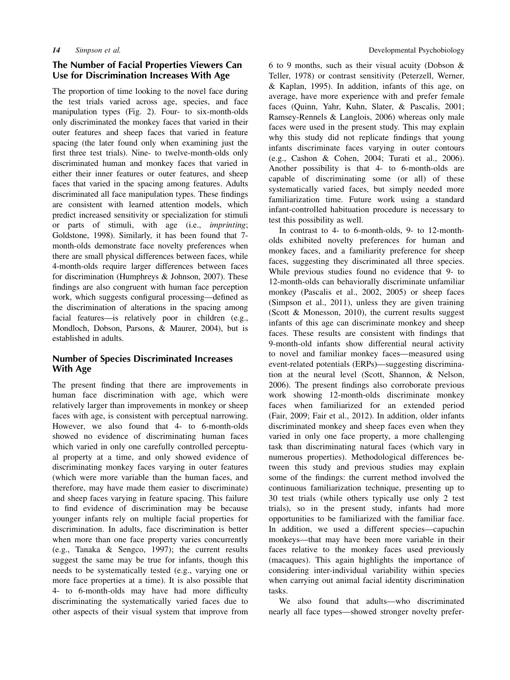# The Number of Facial Properties Viewers Can Use for Discrimination Increases With Age

The proportion of time looking to the novel face during the test trials varied across age, species, and face manipulation types (Fig. 2). Four- to six-month-olds only discriminated the monkey faces that varied in their outer features and sheep faces that varied in feature spacing (the later found only when examining just the first three test trials). Nine- to twelve-month-olds only discriminated human and monkey faces that varied in either their inner features or outer features, and sheep faces that varied in the spacing among features. Adults discriminated all face manipulation types. These findings are consistent with learned attention models, which predict increased sensitivity or specialization for stimuli or parts of stimuli, with age (i.e., imprinting; Goldstone, 1998). Similarly, it has been found that 7 month-olds demonstrate face novelty preferences when there are small physical differences between faces, while 4-month-olds require larger differences between faces for discrimination (Humphreys & Johnson, 2007). These findings are also congruent with human face perception work, which suggests configural processing—defined as the discrimination of alterations in the spacing among facial features—is relatively poor in children (e.g., Mondloch, Dobson, Parsons, & Maurer, 2004), but is established in adults.

# Number of Species Discriminated Increases With Age

The present finding that there are improvements in human face discrimination with age, which were relatively larger than improvements in monkey or sheep faces with age, is consistent with perceptual narrowing. However, we also found that 4- to 6-month-olds showed no evidence of discriminating human faces which varied in only one carefully controlled perceptual property at a time, and only showed evidence of discriminating monkey faces varying in outer features (which were more variable than the human faces, and therefore, may have made them easier to discriminate) and sheep faces varying in feature spacing. This failure to find evidence of discrimination may be because younger infants rely on multiple facial properties for discrimination. In adults, face discrimination is better when more than one face property varies concurrently (e.g., Tanaka & Sengco, 1997); the current results suggest the same may be true for infants, though this needs to be systematically tested (e.g., varying one or more face properties at a time). It is also possible that 4- to 6-month-olds may have had more difficulty discriminating the systematically varied faces due to other aspects of their visual system that improve from

6 to 9 months, such as their visual acuity (Dobson & Teller, 1978) or contrast sensitivity (Peterzell, Werner, & Kaplan, 1995). In addition, infants of this age, on average, have more experience with and prefer female faces (Quinn, Yahr, Kuhn, Slater, & Pascalis, 2001; Ramsey-Rennels & Langlois, 2006) whereas only male faces were used in the present study. This may explain why this study did not replicate findings that young infants discriminate faces varying in outer contours (e.g., Cashon & Cohen, 2004; Turati et al., 2006). Another possibility is that 4- to 6-month-olds are capable of discriminating some (or all) of these systematically varied faces, but simply needed more familiarization time. Future work using a standard infant-controlled habituation procedure is necessary to test this possibility as well.

In contrast to 4- to 6-month-olds, 9- to 12-montholds exhibited novelty preferences for human and monkey faces, and a familiarity preference for sheep faces, suggesting they discriminated all three species. While previous studies found no evidence that 9- to 12-month-olds can behaviorally discriminate unfamiliar monkey (Pascalis et al., 2002, 2005) or sheep faces (Simpson et al., 2011), unless they are given training (Scott & Monesson, 2010), the current results suggest infants of this age can discriminate monkey and sheep faces. These results are consistent with findings that 9-month-old infants show differential neural activity to novel and familiar monkey faces—measured using event-related potentials (ERPs)—suggesting discrimination at the neural level (Scott, Shannon, & Nelson, 2006). The present findings also corroborate previous work showing 12-month-olds discriminate monkey faces when familiarized for an extended period (Fair, 2009; Fair et al., 2012). In addition, older infants discriminated monkey and sheep faces even when they varied in only one face property, a more challenging task than discriminating natural faces (which vary in numerous properties). Methodological differences between this study and previous studies may explain some of the findings: the current method involved the continuous familiarization technique, presenting up to 30 test trials (while others typically use only 2 test trials), so in the present study, infants had more opportunities to be familiarized with the familiar face. In addition, we used a different species—capuchin monkeys—that may have been more variable in their faces relative to the monkey faces used previously (macaques). This again highlights the importance of considering inter-individual variability within species when carrying out animal facial identity discrimination tasks.

We also found that adults—who discriminated nearly all face types—showed stronger novelty prefer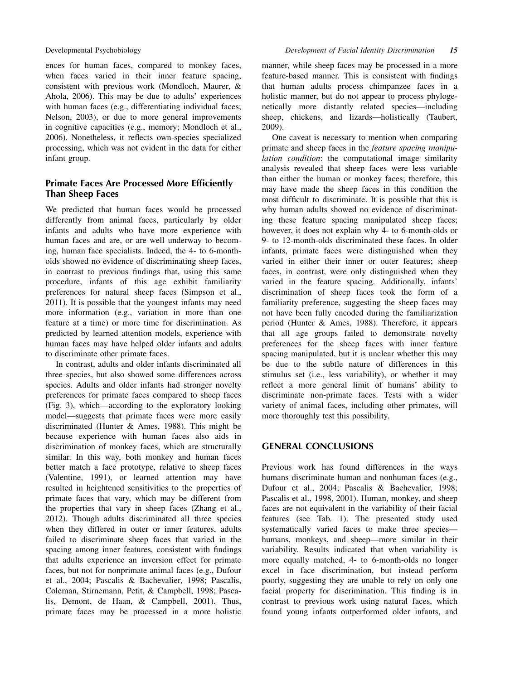ences for human faces, compared to monkey faces, when faces varied in their inner feature spacing, consistent with previous work (Mondloch, Maurer, & Ahola, 2006). This may be due to adults' experiences with human faces (e.g., differentiating individual faces; Nelson, 2003), or due to more general improvements in cognitive capacities (e.g., memory; Mondloch et al., 2006). Nonetheless, it reflects own-species specialized processing, which was not evident in the data for either infant group.

# Primate Faces Are Processed More Efficiently Than Sheep Faces

We predicted that human faces would be processed differently from animal faces, particularly by older infants and adults who have more experience with human faces and are, or are well underway to becoming, human face specialists. Indeed, the 4- to 6-montholds showed no evidence of discriminating sheep faces, in contrast to previous findings that, using this same procedure, infants of this age exhibit familiarity preferences for natural sheep faces (Simpson et al., 2011). It is possible that the youngest infants may need more information (e.g., variation in more than one feature at a time) or more time for discrimination. As predicted by learned attention models, experience with human faces may have helped older infants and adults to discriminate other primate faces.

In contrast, adults and older infants discriminated all three species, but also showed some differences across species. Adults and older infants had stronger novelty preferences for primate faces compared to sheep faces (Fig. 3), which—according to the exploratory looking model—suggests that primate faces were more easily discriminated (Hunter & Ames, 1988). This might be because experience with human faces also aids in discrimination of monkey faces, which are structurally similar. In this way, both monkey and human faces better match a face prototype, relative to sheep faces (Valentine, 1991), or learned attention may have resulted in heightened sensitivities to the properties of primate faces that vary, which may be different from the properties that vary in sheep faces (Zhang et al., 2012). Though adults discriminated all three species when they differed in outer or inner features, adults failed to discriminate sheep faces that varied in the spacing among inner features, consistent with findings that adults experience an inversion effect for primate faces, but not for nonprimate animal faces (e.g., Dufour et al., 2004; Pascalis & Bachevalier, 1998; Pascalis, Coleman, Stirnemann, Petit, & Campbell, 1998; Pascalis, Demont, de Haan, & Campbell, 2001). Thus, primate faces may be processed in a more holistic manner, while sheep faces may be processed in a more feature-based manner. This is consistent with findings that human adults process chimpanzee faces in a holistic manner, but do not appear to process phylogenetically more distantly related species—including sheep, chickens, and lizards—holistically (Taubert, 2009).

One caveat is necessary to mention when comparing primate and sheep faces in the feature spacing manipulation condition: the computational image similarity analysis revealed that sheep faces were less variable than either the human or monkey faces; therefore, this may have made the sheep faces in this condition the most difficult to discriminate. It is possible that this is why human adults showed no evidence of discriminating these feature spacing manipulated sheep faces; however, it does not explain why 4- to 6-month-olds or 9- to 12-month-olds discriminated these faces. In older infants, primate faces were distinguished when they varied in either their inner or outer features; sheep faces, in contrast, were only distinguished when they varied in the feature spacing. Additionally, infants' discrimination of sheep faces took the form of a familiarity preference, suggesting the sheep faces may not have been fully encoded during the familiarization period (Hunter & Ames, 1988). Therefore, it appears that all age groups failed to demonstrate novelty preferences for the sheep faces with inner feature spacing manipulated, but it is unclear whether this may be due to the subtle nature of differences in this stimulus set (i.e., less variability), or whether it may reflect a more general limit of humans' ability to discriminate non-primate faces. Tests with a wider variety of animal faces, including other primates, will more thoroughly test this possibility.

# GENERAL CONCLUSIONS

Previous work has found differences in the ways humans discriminate human and nonhuman faces (e.g., Dufour et al., 2004; Pascalis & Bachevalier, 1998; Pascalis et al., 1998, 2001). Human, monkey, and sheep faces are not equivalent in the variability of their facial features (see Tab. 1). The presented study used systematically varied faces to make three species humans, monkeys, and sheep—more similar in their variability. Results indicated that when variability is more equally matched, 4- to 6-month-olds no longer excel in face discrimination, but instead perform poorly, suggesting they are unable to rely on only one facial property for discrimination. This finding is in contrast to previous work using natural faces, which found young infants outperformed older infants, and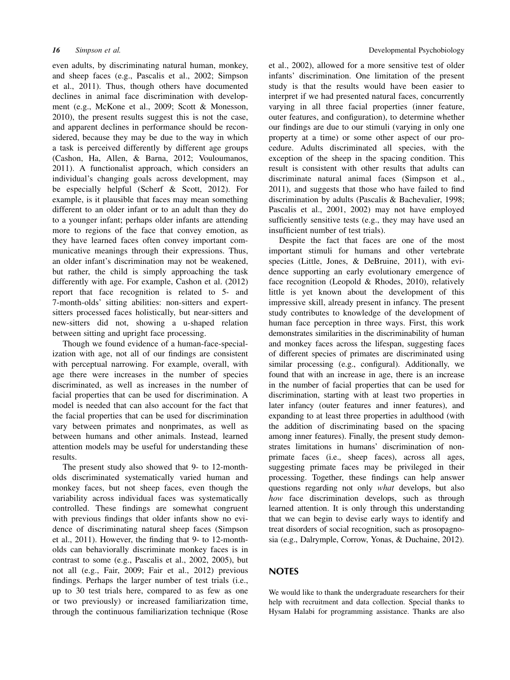even adults, by discriminating natural human, monkey, and sheep faces (e.g., Pascalis et al., 2002; Simpson et al., 2011). Thus, though others have documented declines in animal face discrimination with development (e.g., McKone et al., 2009; Scott & Monesson, 2010), the present results suggest this is not the case, and apparent declines in performance should be reconsidered, because they may be due to the way in which a task is perceived differently by different age groups (Cashon, Ha, Allen, & Barna, 2012; Vouloumanos, 2011). A functionalist approach, which considers an individual's changing goals across development, may be especially helpful (Scherf & Scott, 2012). For example, is it plausible that faces may mean something different to an older infant or to an adult than they do to a younger infant; perhaps older infants are attending more to regions of the face that convey emotion, as they have learned faces often convey important communicative meanings through their expressions. Thus, an older infant's discrimination may not be weakened, but rather, the child is simply approaching the task differently with age. For example, Cashon et al. (2012) report that face recognition is related to 5- and 7-month-olds' sitting abilities: non-sitters and expertsitters processed faces holistically, but near-sitters and new-sitters did not, showing a u-shaped relation between sitting and upright face processing.

Though we found evidence of a human-face-specialization with age, not all of our findings are consistent with perceptual narrowing. For example, overall, with age there were increases in the number of species discriminated, as well as increases in the number of facial properties that can be used for discrimination. A model is needed that can also account for the fact that the facial properties that can be used for discrimination vary between primates and nonprimates, as well as between humans and other animals. Instead, learned attention models may be useful for understanding these results.

The present study also showed that 9- to 12-montholds discriminated systematically varied human and monkey faces, but not sheep faces, even though the variability across individual faces was systematically controlled. These findings are somewhat congruent with previous findings that older infants show no evidence of discriminating natural sheep faces (Simpson et al., 2011). However, the finding that 9- to 12-montholds can behaviorally discriminate monkey faces is in contrast to some (e.g., Pascalis et al., 2002, 2005), but not all (e.g., Fair, 2009; Fair et al., 2012) previous findings. Perhaps the larger number of test trials (i.e., up to 30 test trials here, compared to as few as one or two previously) or increased familiarization time, through the continuous familiarization technique (Rose

et al., 2002), allowed for a more sensitive test of older infants' discrimination. One limitation of the present study is that the results would have been easier to interpret if we had presented natural faces, concurrently varying in all three facial properties (inner feature, outer features, and configuration), to determine whether our findings are due to our stimuli (varying in only one property at a time) or some other aspect of our procedure. Adults discriminated all species, with the exception of the sheep in the spacing condition. This result is consistent with other results that adults can discriminate natural animal faces (Simpson et al., 2011), and suggests that those who have failed to find discrimination by adults (Pascalis & Bachevalier, 1998; Pascalis et al., 2001, 2002) may not have employed sufficiently sensitive tests (e.g., they may have used an insufficient number of test trials).

Despite the fact that faces are one of the most important stimuli for humans and other vertebrate species (Little, Jones, & DeBruine, 2011), with evidence supporting an early evolutionary emergence of face recognition (Leopold & Rhodes, 2010), relatively little is yet known about the development of this impressive skill, already present in infancy. The present study contributes to knowledge of the development of human face perception in three ways. First, this work demonstrates similarities in the discriminability of human and monkey faces across the lifespan, suggesting faces of different species of primates are discriminated using similar processing (e.g., configural). Additionally, we found that with an increase in age, there is an increase in the number of facial properties that can be used for discrimination, starting with at least two properties in later infancy (outer features and inner features), and expanding to at least three properties in adulthood (with the addition of discriminating based on the spacing among inner features). Finally, the present study demonstrates limitations in humans' discrimination of nonprimate faces (i.e., sheep faces), across all ages, suggesting primate faces may be privileged in their processing. Together, these findings can help answer questions regarding not only what develops, but also how face discrimination develops, such as through learned attention. It is only through this understanding that we can begin to devise early ways to identify and treat disorders of social recognition, such as prosopagnosia (e.g., Dalrymple, Corrow, Yonas, & Duchaine, 2012).

# **NOTES**

We would like to thank the undergraduate researchers for their help with recruitment and data collection. Special thanks to Hysam Halabi for programming assistance. Thanks are also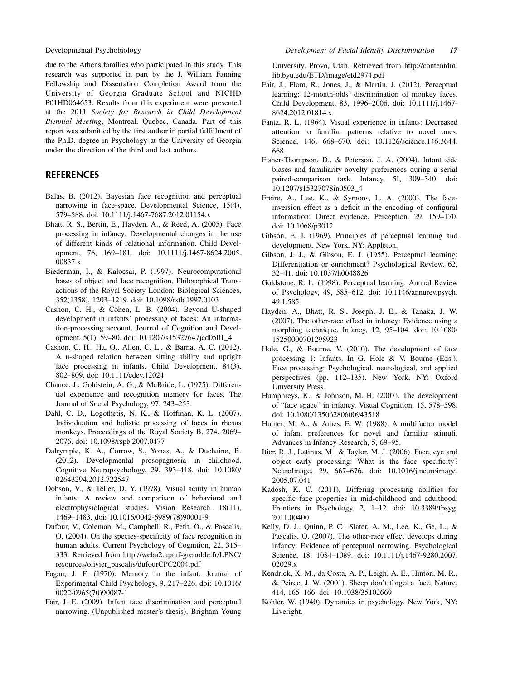due to the Athens families who participated in this study. This research was supported in part by the J. William Fanning Fellowship and Dissertation Completion Award from the University of Georgia Graduate School and NICHD P01HD064653. Results from this experiment were presented at the 2011 Society for Research in Child Development Biennial Meeting, Montreal, Quebec, Canada. Part of this report was submitted by the first author in partial fulfillment of the Ph.D. degree in Psychology at the University of Georgia under the direction of the third and last authors.

# **REFERENCES**

- Balas, B. (2012). Bayesian face recognition and perceptual narrowing in face-space. Developmental Science, 15(4), 579–588. doi: 10.1111/j.1467-7687.2012.01154.x
- Bhatt, R. S., Bertin, E., Hayden, A., & Reed, A. (2005). Face processing in infancy: Developmental changes in the use of different kinds of relational information. Child Development, 76, 169–181. doi: 10.1111/j.1467-8624.2005. 00837.x
- Biederman, I., & Kalocsai, P. (1997). Neurocomputational bases of object and face recognition. Philosophical Transactions of the Royal Society London: Biological Sciences, 352(1358), 1203–1219. doi: 10.1098/rstb.1997.0103
- Cashon, C. H., & Cohen, L. B. (2004). Beyond U-shaped development in infants' processing of faces: An information-processing account. Journal of Cognition and Development, 5(1), 59–80. doi: 10.1207/s15327647jcd0501\_4
- Cashon, C. H., Ha, O., Allen, C. L., & Barna, A. C. (2012). A u-shaped relation between sitting ability and upright face processing in infants. Child Development, 84(3), 802–809. doi: 10.1111/cdev.12024
- Chance, J., Goldstein, A. G., & McBride, L. (1975). Differential experience and recognition memory for faces. The Journal of Social Psychology, 97, 243–253.
- Dahl, C. D., Logothetis, N. K., & Hoffman, K. L. (2007). Individuation and holistic processing of faces in rhesus monkeys. Proceedings of the Royal Society B, 274, 2069– 2076. doi: 10.1098/rspb.2007.0477
- Dalrymple, K. A., Corrow, S., Yonas, A., & Duchaine, B. (2012). Developmental prosopagnosia in childhood. Cognitive Neuropsychology, 29, 393–418. doi: 10.1080/ 02643294.2012.722547
- Dobson, V., & Teller, D. Y. (1978). Visual acuity in human infants: A review and comparison of behavioral and electrophysiological studies. Vision Research, 18(11), 1469–1483. doi: 10.1016/0042-6989(78)90001-9
- Dufour, V., Coleman, M., Campbell, R., Petit, O., & Pascalis, O. (2004). On the species-specificity of face recognition in human adults. Current Psychology of Cognition, 22, 315– 333. Retrieved from [http://webu2.upmf-grenoble.fr/LPNC/](http://webu2.upmf-grenoble.fr/LPNC/resources/olivier_pascalis/dufourCPC2004.pdf) [resources/olivier\\_pascalis/dufourCPC2004.pdf](http://webu2.upmf-grenoble.fr/LPNC/resources/olivier_pascalis/dufourCPC2004.pdf)
- Fagan, J. F. (1970). Memory in the infant. Journal of Experimental Child Psychology, 9, 217–226. doi: 10.1016/ 0022-0965(70)90087-1
- Fair, J. E. (2009). Infant face discrimination and perceptual narrowing. (Unpublished master's thesis). Brigham Young

University, Provo, Utah. Retrieved from [http://contentdm.](http://contentdm.lib.byu.edu/ETD/image/etd2974.pdf) [lib.byu.edu/ETD/image/etd2974.pdf](http://contentdm.lib.byu.edu/ETD/image/etd2974.pdf)

- Fair, J., Flom, R., Jones, J., & Martin, J. (2012). Perceptual learning: 12-month-olds' discrimination of monkey faces. Child Development, 83, 1996–2006. doi: 10.1111/j.1467- 8624.2012.01814.x
- Fantz, R. L. (1964). Visual experience in infants: Decreased attention to familiar patterns relative to novel ones. Science, 146, 668–670. doi: 10.1126/science.146.3644. 668
- Fisher-Thompson, D., & Peterson, J. A. (2004). Infant side biases and familiarity-novelty preferences during a serial paired-comparison task. Infancy, 5I, 309–340. doi: 10.1207/s15327078in0503\_4
- Freire, A., Lee, K., & Symons, L. A. (2000). The faceinversion effect as a deficit in the encoding of configural information: Direct evidence. Perception, 29, 159–170. doi: 10.1068/p3012
- Gibson, E. J. (1969). Principles of perceptual learning and development. New York, NY: Appleton.
- Gibson, J. J., & Gibson, E. J. (1955). Perceptual learning: Differentiation or enrichment? Psychological Review, 62, 32–41. doi: 10.1037/h0048826
- Goldstone, R. L. (1998). Perceptual learning. Annual Review of Psychology, 49, 585–612. doi: 10.1146/annurev.psych. 49.1.585
- Hayden, A., Bhatt, R. S., Joseph, J. E., & Tanaka, J. W. (2007). The other-race effect in infancy: Evidence using a morphing technique. Infancy, 12, 95–104. doi: 10.1080/ 15250000701298923
- Hole, G., & Bourne, V. (2010). The development of face processing 1: Infants. In G. Hole & V. Bourne (Eds.), Face processing: Psychological, neurological, and applied perspectives (pp. 112–135). New York, NY: Oxford University Press.
- Humphreys, K., & Johnson, M. H. (2007). The development of "face space" in infancy. Visual Cognition, 15, 578–598. doi: 10.1080/13506280600943518
- Hunter, M. A., & Ames, E. W. (1988). A multifactor model of infant preferences for novel and familiar stimuli. Advances in Infancy Research, 5, 69–95.
- Itier, R. J., Latinus, M., & Taylor, M. J. (2006). Face, eye and object early processing: What is the face specificity? NeuroImage, 29, 667–676. doi: 10.1016/j.neuroimage. 2005.07.041
- Kadosh, K. C. (2011). Differing processing abilities for specific face properties in mid-childhood and adulthood. Frontiers in Psychology, 2, 1–12. doi: 10.3389/fpsyg. 2011.00400
- Kelly, D. J., Quinn, P. C., Slater, A. M., Lee, K., Ge, L., & Pascalis, O. (2007). The other-race effect develops during infancy: Evidence of perceptual narrowing. Psychological Science, 18, 1084–1089. doi: 10.1111/j.1467-9280.2007. 02029.x
- Kendrick, K. M., da Costa, A. P., Leigh, A. E., Hinton, M. R., & Peirce, J. W. (2001). Sheep don't forget a face. Nature, 414, 165–166. doi: 10.1038/35102669
- Kohler, W. (1940). Dynamics in psychology. New York, NY: Liveright.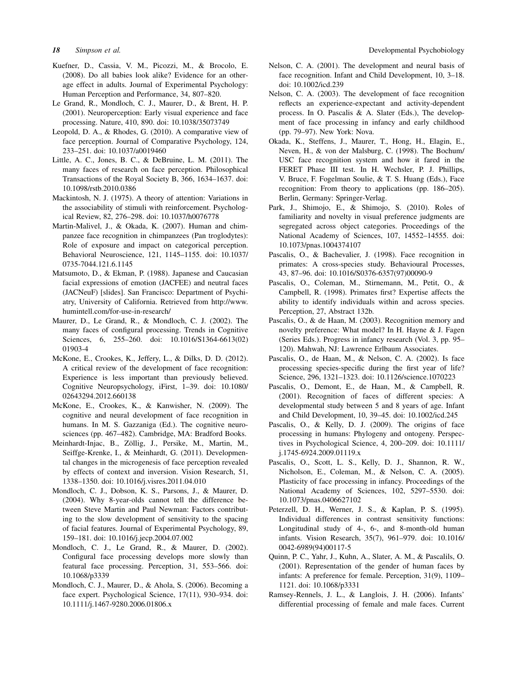- Kuefner, D., Cassia, V. M., Picozzi, M., & Brocolo, E. (2008). Do all babies look alike? Evidence for an otherage effect in adults. Journal of Experimental Psychology: Human Perception and Performance, 34, 807–820.
- Le Grand, R., Mondloch, C. J., Maurer, D., & Brent, H. P. (2001). Neuroperception: Early visual experience and face processing. Nature, 410, 890. doi: 10.1038/35073749
- Leopold, D. A., & Rhodes, G. (2010). A comparative view of face perception. Journal of Comparative Psychology, 124, 233–251. doi: 10.1037/a0019460
- Little, A. C., Jones, B. C., & DeBruine, L. M. (2011). The many faces of research on face perception. Philosophical Transactions of the Royal Society B, 366, 1634–1637. doi: 10.1098/rstb.2010.0386
- Mackintosh, N. J. (1975). A theory of attention: Variations in the associability of stimuli with reinforcement. Psychological Review, 82, 276–298. doi: 10.1037/h0076778
- Martin-Malivel, J., & Okada, K. (2007). Human and chimpanzee face recognition in chimpanzees (Pan troglodytes): Role of exposure and impact on categorical perception. Behavioral Neuroscience, 121, 1145–1155. doi: 10.1037/ 0735-7044.121.6.1145
- Matsumoto, D., & Ekman, P. (1988). Japanese and Caucasian facial expressions of emotion (JACFEE) and neutral faces (JACNeuF) [slides]. San Francisco: Department of Psychiatry, University of California. Retrieved from [http://www.](http://www.humintell.com/for-use-in-research/) [humintell.com/for-use-in-research/](http://www.humintell.com/for-use-in-research/)
- Maurer, D., Le Grand, R., & Mondloch, C. J. (2002). The many faces of configural processing. Trends in Cognitive Sciences, 6, 255–260. doi: 10.1016/S1364-6613(02) 01903-4
- McKone, E., Crookes, K., Jeffery, L., & Dilks, D. D. (2012). A critical review of the development of face recognition: Experience is less important than previously believed. Cognitive Neuropsychology, iFirst, 1–39. doi: 10.1080/ 02643294.2012.660138
- McKone, E., Crookes, K., & Kanwisher, N. (2009). The cognitive and neural development of face recognition in humans. In M. S. Gazzaniga (Ed.). The cognitive neurosciences (pp. 467–482). Cambridge, MA: Bradford Books.
- Meinhardt-Injac, B., Zöllig, J., Persike, M., Martin, M., Seiffge-Krenke, I., & Meinhardt, G. (2011). Developmental changes in the microgenesis of face perception revealed by effects of context and inversion. Vision Research, 51, 1338–1350. doi: 10.1016/j.visres.2011.04.010
- Mondloch, C. J., Dobson, K. S., Parsons, J., & Maurer, D. (2004). Why 8-year-olds cannot tell the difference between Steve Martin and Paul Newman: Factors contributing to the slow development of sensitivity to the spacing of facial features. Journal of Experimental Psychology, 89, 159–181. doi: 10.1016/j.jecp.2004.07.002
- Mondloch, C. J., Le Grand, R., & Maurer, D. (2002). Configural face processing develops more slowly than featural face processing. Perception, 31, 553–566. doi: 10.1068/p3339
- Mondloch, C. J., Maurer, D., & Ahola, S. (2006). Becoming a face expert. Psychological Science, 17(11), 930–934. doi: 10.1111/j.1467-9280.2006.01806.x
- 18 Simpson et al. **Subset al.** Developmental Psychobiology
	- Nelson, C. A. (2001). The development and neural basis of face recognition. Infant and Child Development, 10, 3–18. doi: 10.1002/icd.239
	- Nelson, C. A. (2003). The development of face recognition reflects an experience-expectant and activity-dependent process. In O. Pascalis & A. Slater (Eds.), The development of face processing in infancy and early childhood (pp. 79–97). New York: Nova.
	- Okada, K., Steffens, J., Maurer, T., Hong, H., Elagin, E., Neven, H., & von der Malsburg, C. (1998). The Bochum/ USC face recognition system and how it fared in the FERET Phase III test. In H. Wechsler, P. J. Phillips, V. Bruce, F. Fogelman Soulie, & T. S. Huang (Eds.), Face recognition: From theory to applications (pp. 186–205). Berlin, Germany: Springer-Verlag.
	- Park, J., Shimojo, E., & Shimojo, S. (2010). Roles of familiarity and novelty in visual preference judgments are segregated across object categories. Proceedings of the National Academy of Sciences, 107, 14552–14555. doi: 10.1073/pnas.1004374107
	- Pascalis, O., & Bachevalier, J. (1998). Face recognition in primates: A cross-species study. Behavioural Processes, 43, 87–96. doi: 10.1016/S0376-6357(97)00090-9
	- Pascalis, O., Coleman, M., Stirnemann, M., Petit, O., & Campbell, R. (1998). Primates first? Expertise affects the ability to identify individuals within and across species. Perception, 27, Abstract 132b.
	- Pascalis, O., & de Haan, M. (2003). Recognition memory and novelty preference: What model? In H. Hayne & J. Fagen (Series Eds.). Progress in infancy research (Vol. 3, pp. 95– 120). Mahwah, NJ: Lawrence Erlbaum Associates.
	- Pascalis, O., de Haan, M., & Nelson, C. A. (2002). Is face processing species-specific during the first year of life? Science, 296, 1321–1323. doi: 10.1126/science.1070223
	- Pascalis, O., Demont, E., de Haan, M., & Campbell, R. (2001). Recognition of faces of different species: A developmental study between 5 and 8 years of age. Infant and Child Development, 10, 39–45. doi: 10.1002/icd.245
	- Pascalis, O., & Kelly, D. J. (2009). The origins of face processing in humans: Phylogeny and ontogeny. Perspectives in Psychological Science, 4, 200–209. doi: 10.1111/ j.1745-6924.2009.01119.x
	- Pascalis, O., Scott, L. S., Kelly, D. J., Shannon, R. W., Nicholson, E., Coleman, M., & Nelson, C. A. (2005). Plasticity of face processing in infancy. Proceedings of the National Academy of Sciences, 102, 5297–5530. doi: 10.1073/pnas.0406627102
	- Peterzell, D. H., Werner, J. S., & Kaplan, P. S. (1995). Individual differences in contrast sensitivity functions: Longitudinal study of 4-, 6-, and 8-month-old human infants. Vision Research, 35(7), 961–979. doi: 10.1016/ 0042-6989(94)00117-5
	- Quinn, P. C., Yahr, J., Kuhn, A., Slater, A. M., & Pascalils, O. (2001). Representation of the gender of human faces by infants: A preference for female. Perception, 31(9), 1109– 1121. doi: 10.1068/p3331
	- Ramsey-Rennels, J. L., & Langlois, J. H. (2006). Infants' differential processing of female and male faces. Current